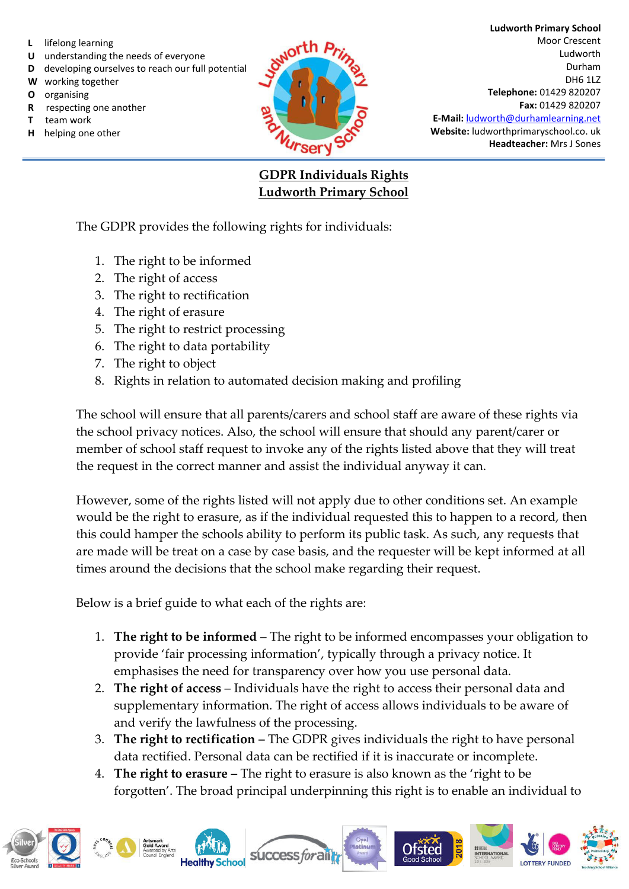- **L** lifelong learning
- **U** understanding the needs of everyone
- **D** developing ourselves to reach our full potential
- **W** working together
- **O** organising
- **R** respecting one another
- **T** team work
- **H** helping one other



**Ludworth Primary School**  Moor Crescent Ludworth Durham DH6 1LZ **Telephone:** 01429 820207 **Fax:** 01429 820207 **E-Mail:** [ludworth@durhamlearning.net](mailto:ludworth@durhamlearning.net) **Website:** ludworthprimaryschool.co. uk **Headteacher:** Mrs J Sones

## **GDPR Individuals Rights Ludworth Primary School**

The GDPR provides the following rights for individuals:

- 1. The right to be informed
- 2. The right of access
- 3. The right to rectification
- 4. The right of erasure
- 5. The right to restrict processing
- 6. The right to data portability
- 7. The right to object
- 8. Rights in relation to automated decision making and profiling

The school will ensure that all parents/carers and school staff are aware of these rights via the school privacy notices. Also, the school will ensure that should any parent/carer or member of school staff request to invoke any of the rights listed above that they will treat the request in the correct manner and assist the individual anyway it can.

However, some of the rights listed will not apply due to other conditions set. An example would be the right to erasure, as if the individual requested this to happen to a record, then this could hamper the schools ability to perform its public task. As such, any requests that are made will be treat on a case by case basis, and the requester will be kept informed at all times around the decisions that the school make regarding their request.

Below is a brief guide to what each of the rights are:

- 1. **The right to be informed** The right to be informed encompasses your obligation to provide 'fair processing information', typically through a privacy notice. It emphasises the need for transparency over how you use personal data.
- 2. **The right of access**  Individuals have the right to access their personal data and supplementary information. The right of access allows individuals to be aware of and verify the lawfulness of the processing.
- 3. **The right to rectification –** The GDPR gives individuals the right to have personal data rectified. Personal data can be rectified if it is inaccurate or incomplete.
- 4. **The right to erasure –** The right to erasure is also known as the 'right to be forgotten'. The broad principal underpinning this right is to enable an individual to